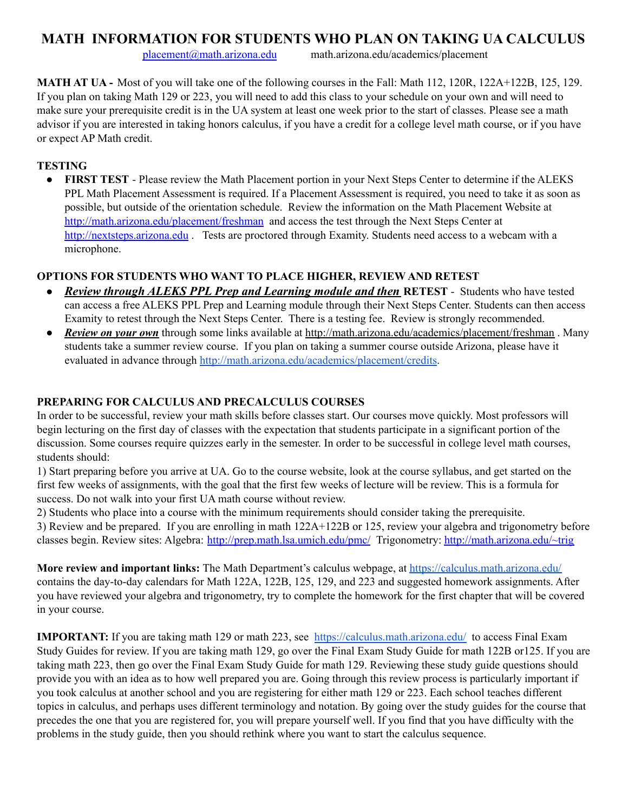# **MATH INFORMATION FOR STUDENTS WHO PLAN ON TAKING UA CALCULUS**

[placement@math.arizona.edu](mailto:placement@math.arizona.edu) math.arizona.edu/academics/placement

**MATH AT UA -** Most of you will take one of the following courses in the Fall: Math 112, 120R, 122A+122B, 125, 129. If you plan on taking Math 129 or 223, you will need to add this class to your schedule on your own and will need to make sure your prerequisite credit is in the UA system at least one week prior to the start of classes. Please see a math advisor if you are interested in taking honors calculus, if you have a credit for a college level math course, or if you have or expect AP Math credit.

## **TESTING**

● **FIRST TEST** - Please review the Math Placement portion in your Next Steps Center to determine if the ALEKS PPL Math Placement Assessment is required. If a Placement Assessment is required, you need to take it as soon as possible, but outside of the orientation schedule. Review the information on the Math Placement Website at <http://math.arizona.edu/placement/freshman> and access the test through the Next Steps Center at <http://nextsteps.arizona.edu> . Tests are proctored through Examity. Students need access to a webcam with a microphone.

#### **OPTIONS FOR STUDENTS WHO WANT TO PLACE HIGHER, REVIEW AND RETEST**

- **●** *Review through ALEKS PPL Prep and Learning module and then* **RETEST** Students who have tested can access a free ALEKS PPL Prep and Learning module through their Next Steps Center. Students can then access Examity to retest through the Next Steps Center. There is a testing fee. Review is strongly recommended.
- **●** *Review on your own* through some links available at [http://math.arizona.edu/academics/placement/](http://math.arizona.edu/academics/placement/exams)freshman . Many students take a summer review course. If you plan on taking a summer course outside Arizona, please have it evaluated in advance through <http://math.arizona.edu/academics/placement/credits>.

## **PREPARING FOR CALCULUS AND PRECALCULUS COURSES**

In order to be successful, review your math skills before classes start. Our courses move quickly. Most professors will begin lecturing on the first day of classes with the expectation that students participate in a significant portion of the discussion. Some courses require quizzes early in the semester. In order to be successful in college level math courses, students should:

1) Start preparing before you arrive at UA. Go to the course website, look at the course syllabus, and get started on the first few weeks of assignments, with the goal that the first few weeks of lecture will be review. This is a formula for success. Do not walk into your first UA math course without review.

2) Students who place into a course with the minimum requirements should consider taking the prerequisite. 3) Review and be prepared. If you are enrolling in math 122A+122B or 125, review your algebra and trigonometry before classes begin. Review sites: Algebra: <http://prep.math.lsa.umich.edu/pmc/> Trigonometry: <http://math.arizona.edu/~trig>

**More review and important links:** The Math Department's calculus webpage, at <https://calculus.math.arizona.edu/> contains the day-to-day calendars for Math 122A, 122B, 125, 129, and 223 and suggested homework assignments. After you have reviewed your algebra and trigonometry, try to complete the homework for the first chapter that will be covered in your course.

**IMPORTANT:** If you are taking math 129 or math 223, see <https://calculus.math.arizona.edu/> to access Final Exam Study Guides for review. If you are taking math 129, go over the Final Exam Study Guide for math 122B or125. If you are taking math 223, then go over the Final Exam Study Guide for math 129. Reviewing these study guide questions should provide you with an idea as to how well prepared you are. Going through this review process is particularly important if you took calculus at another school and you are registering for either math 129 or 223. Each school teaches different topics in calculus, and perhaps uses different terminology and notation. By going over the study guides for the course that precedes the one that you are registered for, you will prepare yourself well. If you find that you have difficulty with the problems in the study guide, then you should rethink where you want to start the calculus sequence.